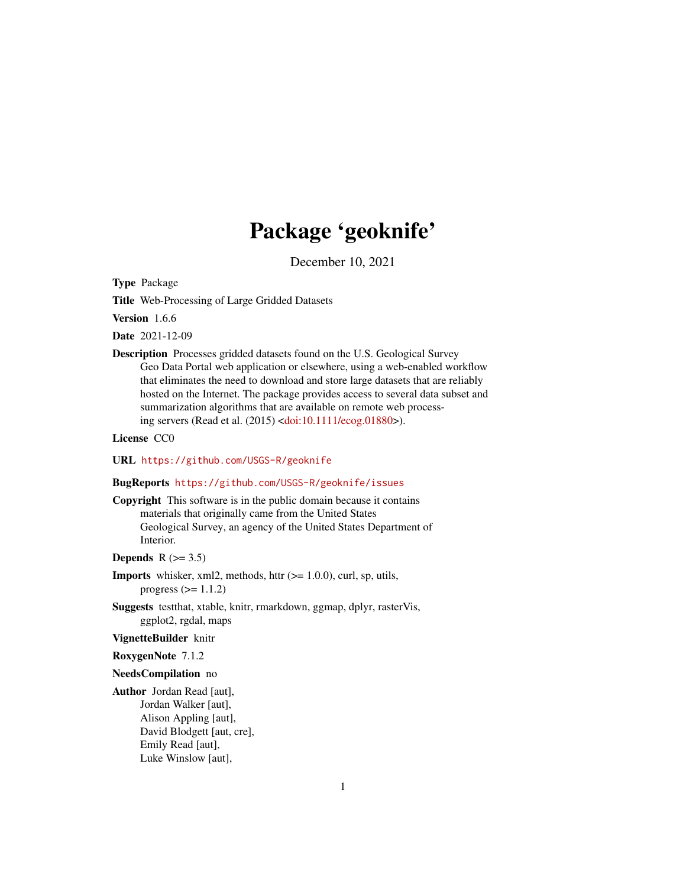# Package 'geoknife'

December 10, 2021

<span id="page-0-0"></span>Type Package

Title Web-Processing of Large Gridded Datasets

Version 1.6.6

Date 2021-12-09

Description Processes gridded datasets found on the U.S. Geological Survey Geo Data Portal web application or elsewhere, using a web-enabled workflow that eliminates the need to download and store large datasets that are reliably hosted on the Internet. The package provides access to several data subset and summarization algorithms that are available on remote web processing servers (Read et al. (2015) [<doi:10.1111/ecog.01880>](https://doi.org/10.1111/ecog.01880)).

License CC0

URL <https://github.com/USGS-R/geoknife>

## BugReports <https://github.com/USGS-R/geoknife/issues>

Copyright This software is in the public domain because it contains materials that originally came from the United States Geological Survey, an agency of the United States Department of Interior.

Depends  $R$  ( $> = 3.5$ )

- **Imports** whisker, xml2, methods, httr  $(>= 1.0.0)$ , curl, sp, utils, progress  $(>= 1.1.2)$
- Suggests testthat, xtable, knitr, rmarkdown, ggmap, dplyr, rasterVis, ggplot2, rgdal, maps

## VignetteBuilder knitr

RoxygenNote 7.1.2

#### NeedsCompilation no

Author Jordan Read [aut], Jordan Walker [aut], Alison Appling [aut], David Blodgett [aut, cre], Emily Read [aut], Luke Winslow [aut],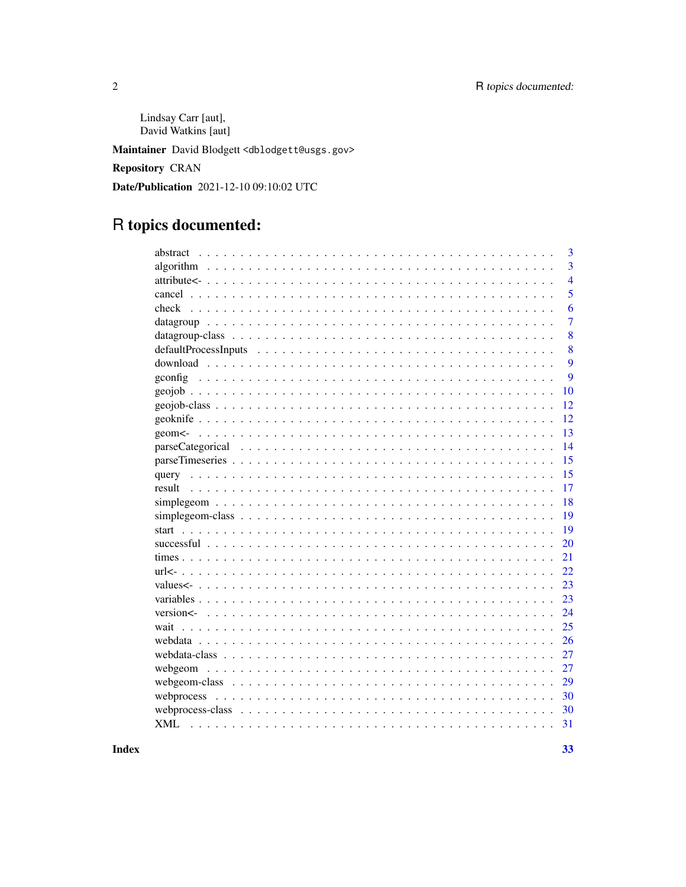Lindsay Carr [aut], David Watkins [aut]

Maintainer David Blodgett <dblodgett@usgs.gov>

Repository CRAN

Date/Publication 2021-12-10 09:10:02 UTC

# R topics documented:

| abstract   | 3              |
|------------|----------------|
|            | 3              |
|            | $\overline{4}$ |
|            | 5              |
| check      | 6              |
|            | $\overline{7}$ |
|            | 8              |
|            | 8              |
|            | 9              |
| gconfig    | 9              |
|            | 10             |
|            | 12             |
|            | 12             |
|            | 13             |
|            | 14             |
|            | 15             |
| query      | 15             |
| result     | 17             |
|            | 18             |
|            | 19             |
| start      | 19             |
|            | 20             |
|            | 21             |
|            | 22             |
|            | 23             |
|            | 23             |
|            | 24             |
| wait       | 25             |
| webdata    | 26             |
|            | 27             |
|            | 27             |
|            | 29             |
|            | 30             |
|            | 30             |
| <b>XML</b> | 31             |
|            |                |

**Index**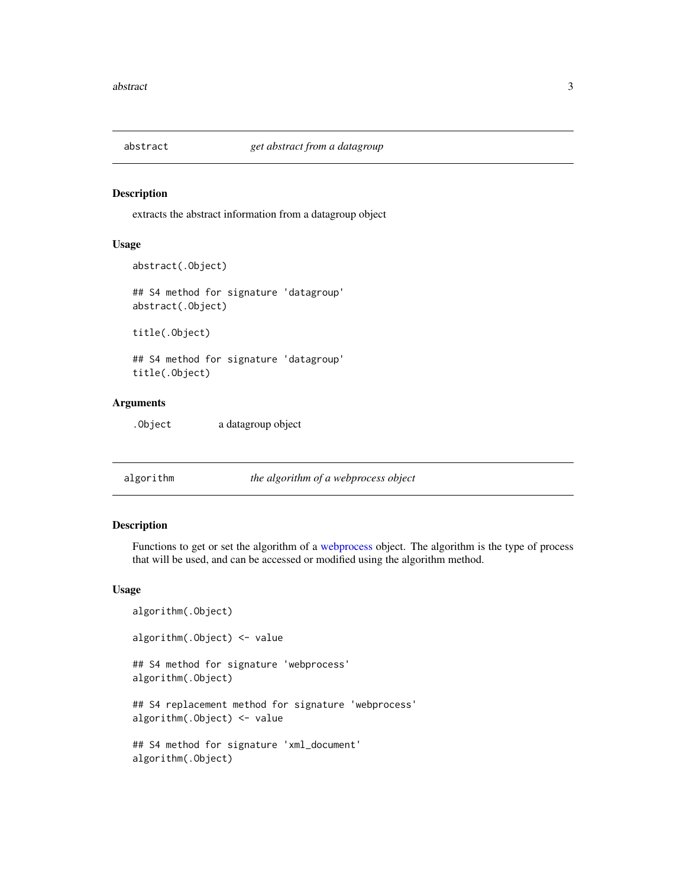<span id="page-2-0"></span>

extracts the abstract information from a datagroup object

## Usage

```
abstract(.Object)
## S4 method for signature 'datagroup'
abstract(.Object)
```
title(.Object)

## S4 method for signature 'datagroup' title(.Object)

# Arguments

.Object a datagroup object

<span id="page-2-1"></span>algorithm *the algorithm of a webprocess object*

#### Description

Functions to get or set the algorithm of a [webprocess](#page-29-1) object. The algorithm is the type of process that will be used, and can be accessed or modified using the algorithm method.

#### Usage

```
algorithm(.Object)
algorithm(.Object) <- value
## S4 method for signature 'webprocess'
algorithm(.Object)
## S4 replacement method for signature 'webprocess'
algorithm(.Object) <- value
## S4 method for signature 'xml_document'
algorithm(.Object)
```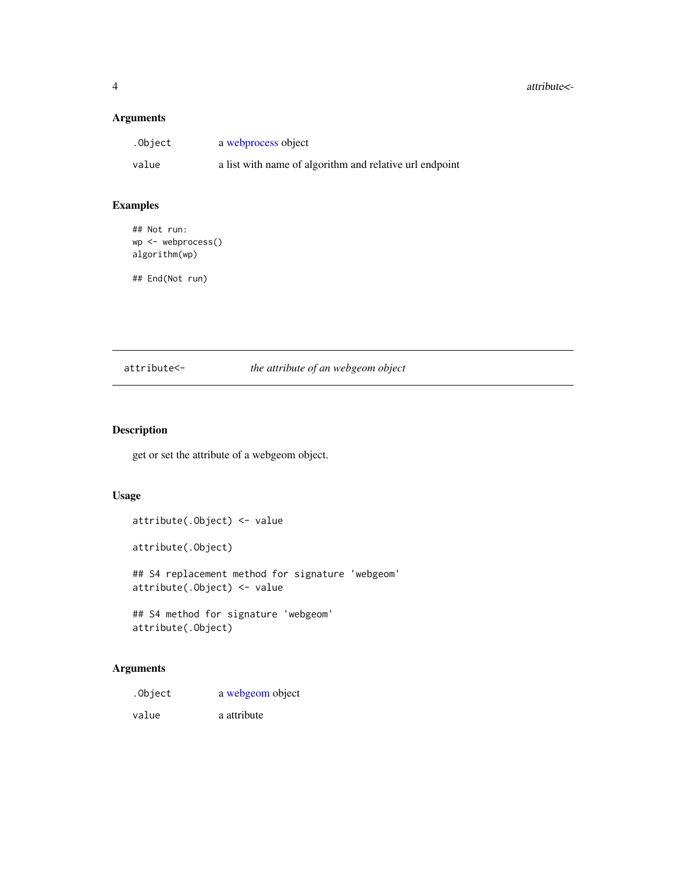#### <span id="page-3-0"></span>4 attribute<-

# Arguments

| .Object | a webprocess object                                     |
|---------|---------------------------------------------------------|
| value   | a list with name of algorithm and relative url endpoint |

# Examples

## Not run: wp <- webprocess() algorithm(wp)

## End(Not run)

# attribute<- *the attribute of an webgeom object*

# <span id="page-3-1"></span>Description

get or set the attribute of a webgeom object.

## Usage

attribute(.Object) <- value attribute(.Object) ## S4 replacement method for signature 'webgeom' attribute(.Object) <- value ## S4 method for signature 'webgeom'

attribute(.Object)

# Arguments

| .Object | a webgeom object |
|---------|------------------|
| value   | a attribute      |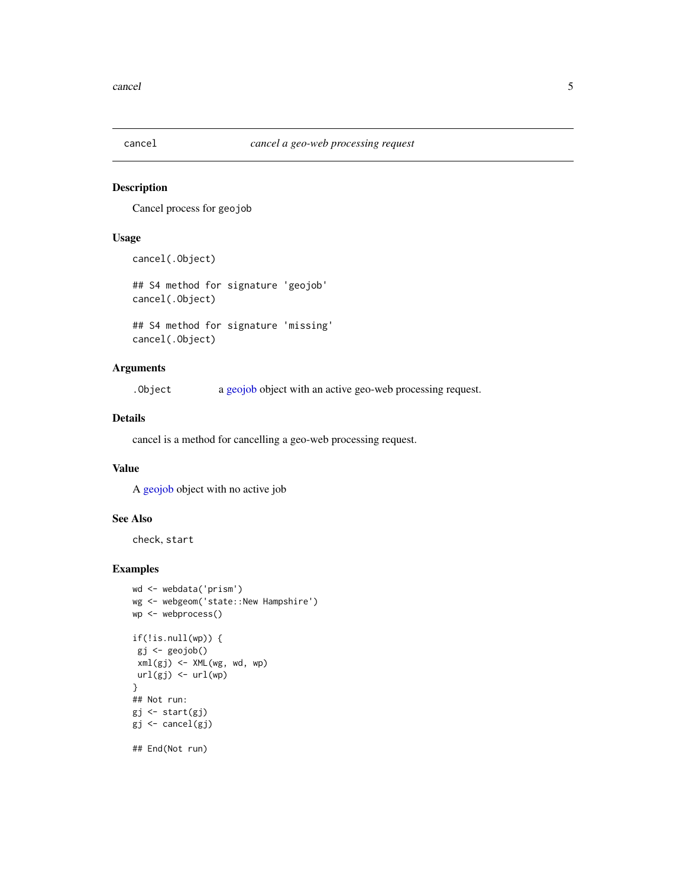<span id="page-4-0"></span>

Cancel process for geojob

## Usage

cancel(.Object)

## S4 method for signature 'geojob' cancel(.Object)

## S4 method for signature 'missing' cancel(.Object)

# Arguments

.Object a [geojob](#page-11-1) object with an active geo-web processing request.

## Details

cancel is a method for cancelling a geo-web processing request.

# Value

A [geojob](#page-11-1) object with no active job

#### See Also

check, start

```
wd <- webdata('prism')
wg <- webgeom('state::New Hampshire')
wp <- webprocess()
if(!is.null(wp)) {
 gj <- geojob()
 xml(gj) <- XML(wg, wd, wp)
url(gj) \leftarrow url(wp)}
## Not run:
gj <- start(gj)
gj <- cancel(gj)
## End(Not run)
```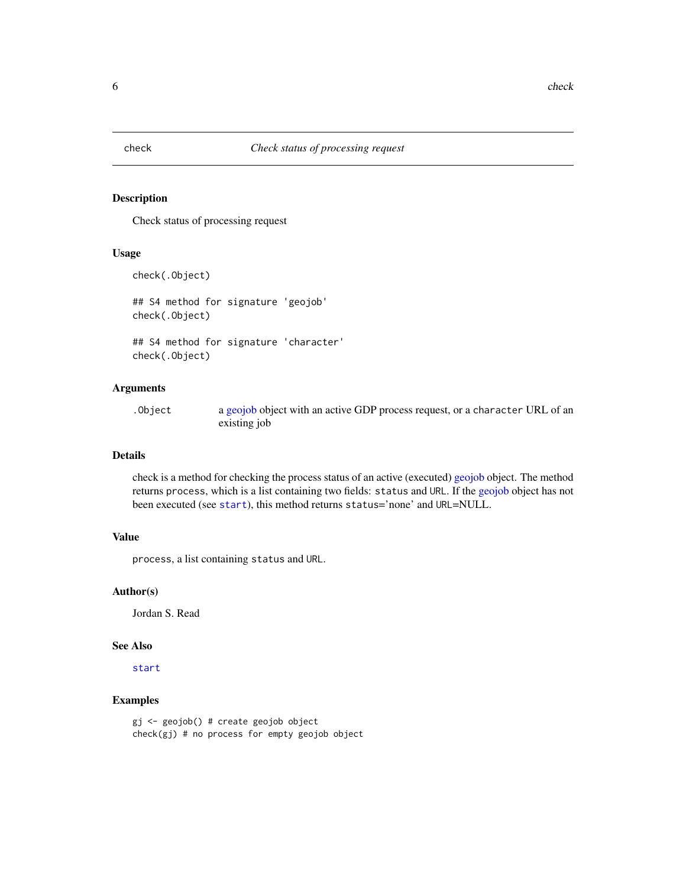<span id="page-5-1"></span><span id="page-5-0"></span>

Check status of processing request

#### Usage

```
check(.Object)
```
## S4 method for signature 'geojob' check(.Object)

## S4 method for signature 'character' check(.Object)

# Arguments

.Object a [geojob](#page-11-1) object with an active GDP process request, or a character URL of an existing job

## Details

check is a method for checking the process status of an active (executed) [geojob](#page-11-1) object. The method returns process, which is a list containing two fields: status and URL. If the [geojob](#page-11-1) object has not been executed (see [start](#page-18-1)), this method returns status='none' and URL=NULL.

## Value

process, a list containing status and URL.

## Author(s)

Jordan S. Read

## See Also

[start](#page-18-1)

## Examples

gj <- geojob() # create geojob object check(gj) # no process for empty geojob object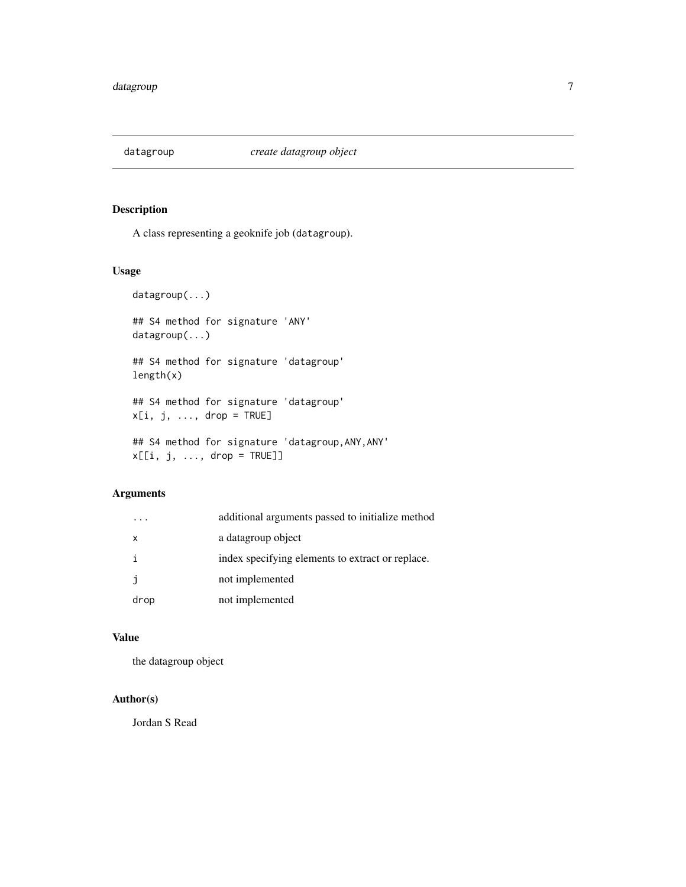<span id="page-6-0"></span>

A class representing a geoknife job (datagroup).

# Usage

```
datagroup(...)
## S4 method for signature 'ANY'
datagroup(...)
## S4 method for signature 'datagroup'
length(x)
## S4 method for signature 'datagroup'
x[i, j, ..., drop = TRUE]## S4 method for signature 'datagroup,ANY,ANY'
x[[i, j, ..., drop = TRUE]]
```
# Arguments

|      | additional arguments passed to initialize method |
|------|--------------------------------------------------|
| X    | a datagroup object                               |
| i    | index specifying elements to extract or replace. |
| j    | not implemented                                  |
| drop | not implemented                                  |

## Value

the datagroup object

# Author(s)

Jordan S Read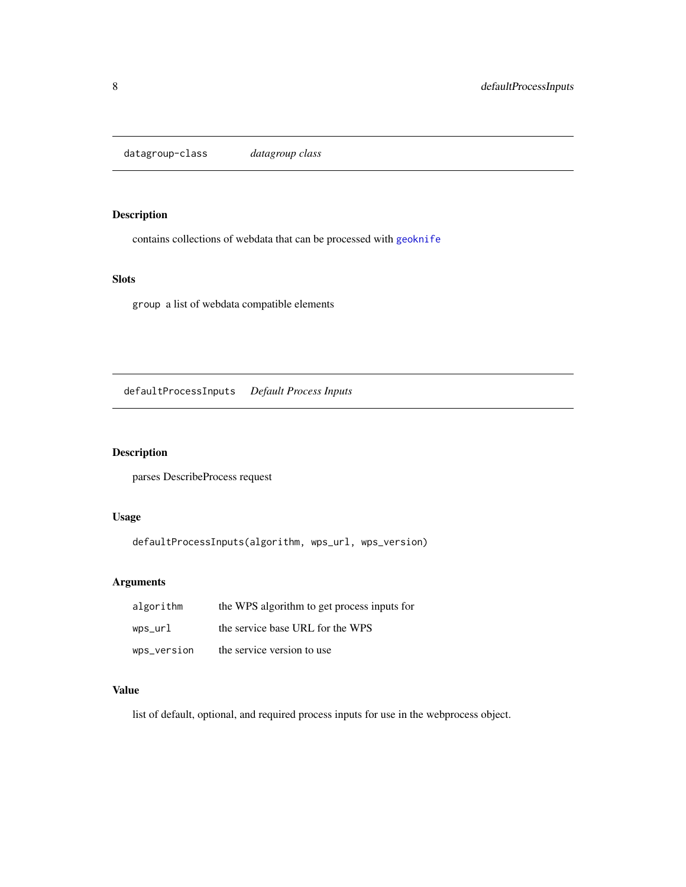<span id="page-7-0"></span>datagroup-class *datagroup class*

# Description

contains collections of webdata that can be processed with [geoknife](#page-11-2)

# Slots

group a list of webdata compatible elements

defaultProcessInputs *Default Process Inputs*

# Description

parses DescribeProcess request

# Usage

defaultProcessInputs(algorithm, wps\_url, wps\_version)

# Arguments

| algorithm   | the WPS algorithm to get process inputs for |
|-------------|---------------------------------------------|
| wps_url     | the service base URL for the WPS            |
| wps_version | the service version to use                  |

# Value

list of default, optional, and required process inputs for use in the webprocess object.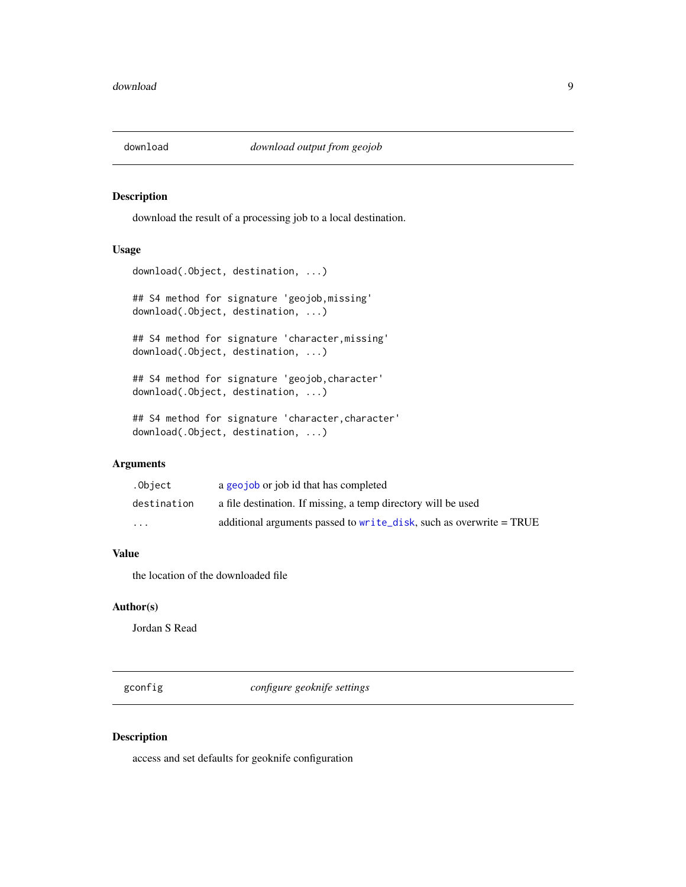<span id="page-8-1"></span><span id="page-8-0"></span>

download the result of a processing job to a local destination.

# Usage

download(.Object, destination, ...)

## S4 method for signature 'geojob,missing' download(.Object, destination, ...)

## S4 method for signature 'character,missing' download(.Object, destination, ...)

## S4 method for signature 'geojob,character' download(.Object, destination, ...)

## S4 method for signature 'character,character' download(.Object, destination, ...)

### Arguments

| .Object     | a geojob or job id that has completed                               |
|-------------|---------------------------------------------------------------------|
| destination | a file destination. If missing, a temp directory will be used       |
| $\cdots$    | additional arguments passed to write_disk, such as overwrite = TRUE |

# Value

the location of the downloaded file

# Author(s)

Jordan S Read

gconfig *configure geoknife settings*

#### Description

access and set defaults for geoknife configuration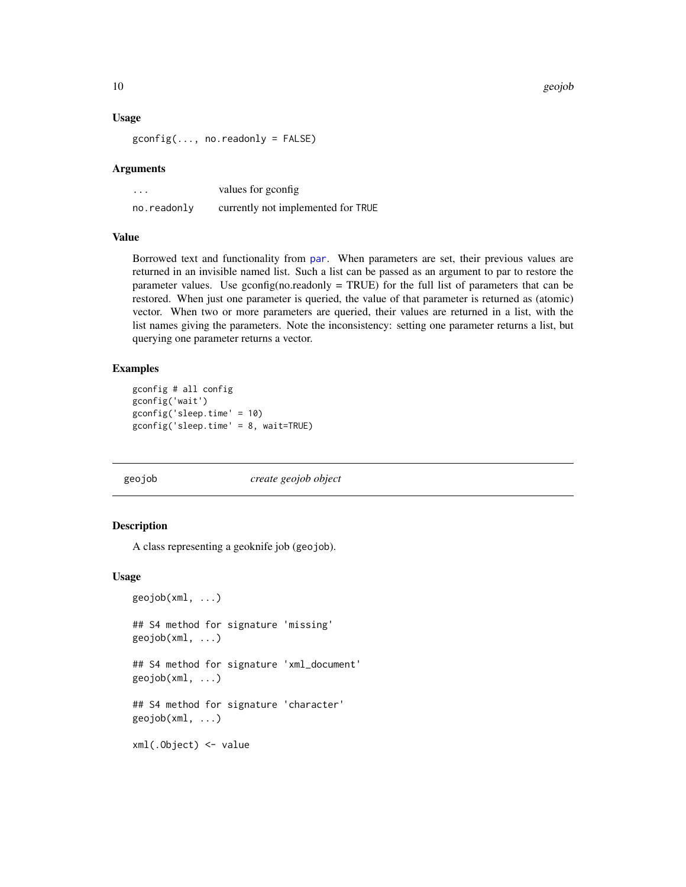<span id="page-9-0"></span>10 geojob

#### Usage

 $gconfig(..., no.readonly = FALSE)$ 

#### Arguments

| $\cdot$ $\cdot$ $\cdot$ | values for gconfig.                |
|-------------------------|------------------------------------|
| no.readonly             | currently not implemented for TRUE |

## Value

Borrowed text and functionality from [par](#page-0-0). When parameters are set, their previous values are returned in an invisible named list. Such a list can be passed as an argument to par to restore the parameter values. Use gconfig(no.readonly = TRUE) for the full list of parameters that can be restored. When just one parameter is queried, the value of that parameter is returned as (atomic) vector. When two or more parameters are queried, their values are returned in a list, with the list names giving the parameters. Note the inconsistency: setting one parameter returns a list, but querying one parameter returns a vector.

# Examples

```
gconfig # all config
gconfig('wait')
gconfig('sleep.time' = 10)
gconfig('sleep.time' = 8, wait=TRUE)
```
<span id="page-9-1"></span>

### geojob *create geojob object*

#### Description

A class representing a geoknife job (geojob).

## Usage

```
geojob(xml, ...)
```
## S4 method for signature 'missing' geojob(xml, ...)

```
## S4 method for signature 'xml_document'
geojob(xml, ...)
```
## S4 method for signature 'character' geojob(xml, ...)

xml(.Object) <- value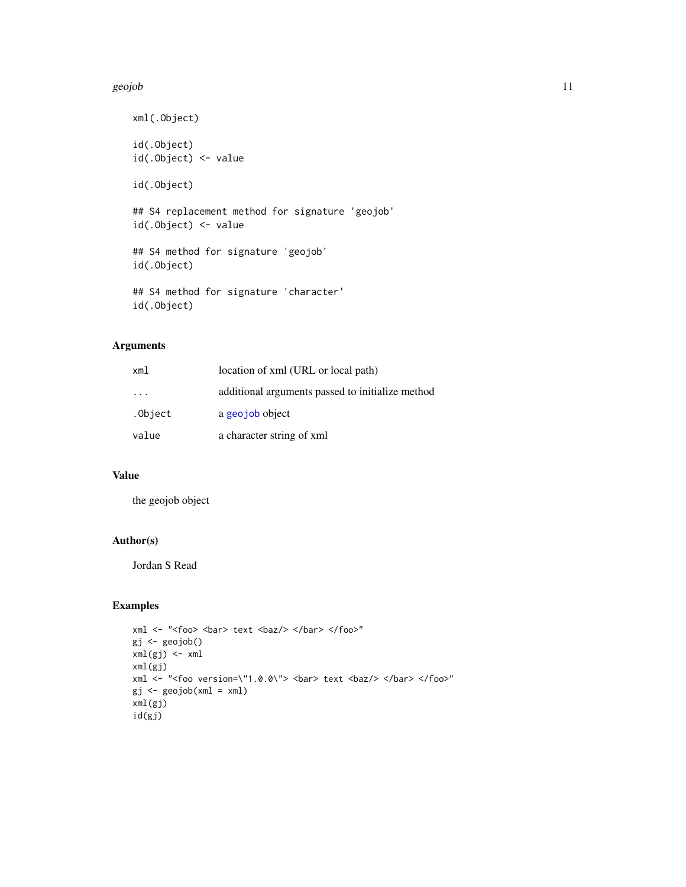#### <span id="page-10-0"></span>geojob 11

```
xml(.Object)
id(.Object)
id(.Object) <- value
id(.Object)
## S4 replacement method for signature 'geojob'
id(.Object) <- value
## S4 method for signature 'geojob'
id(.Object)
## S4 method for signature 'character'
```
id(.Object)

# Arguments

| xml                     | location of xml (URL or local path)              |
|-------------------------|--------------------------------------------------|
| $\cdot$ $\cdot$ $\cdot$ | additional arguments passed to initialize method |
| .Object                 | a georiob object                                 |
| value                   | a character string of xml                        |

# Value

the geojob object

## Author(s)

Jordan S Read

```
xml <- "<foo> <br/> <br/> <br/> <br/>text <br/> <br/> </bar> </foo>"
gj <- geojob()
xml(gj) \leftarrow xmlxml(gj)
xml <- "<foo version=\"1.0.0\"> <br/> <br/> text <br/> <br/> </bar> </foo>"
gj \leq-geojob(xml = xml)xml(gj)
id(gj)
```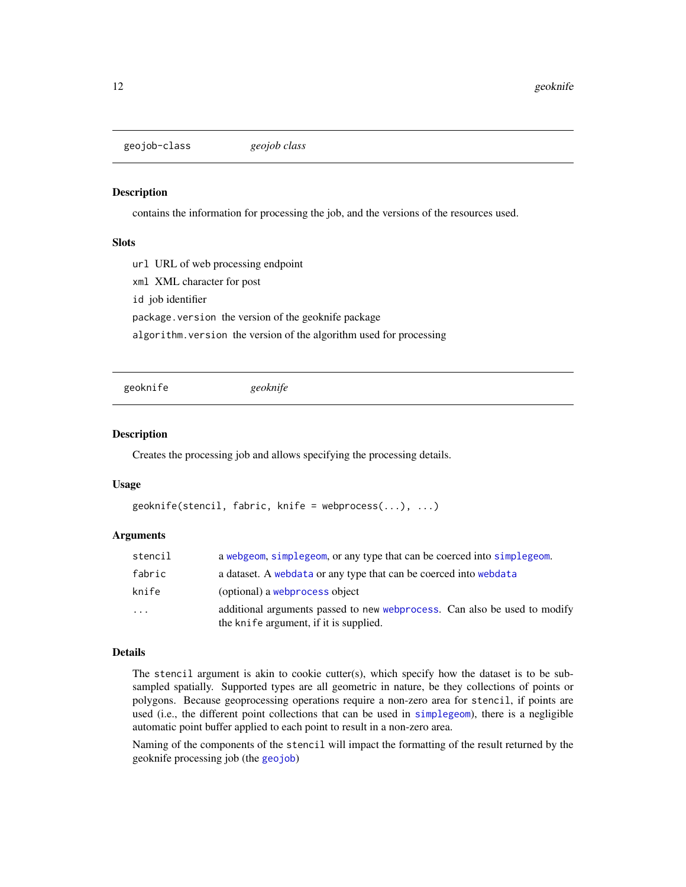<span id="page-11-1"></span><span id="page-11-0"></span>geojob-class *geojob class*

# Description

contains the information for processing the job, and the versions of the resources used.

## Slots

url URL of web processing endpoint

xml XML character for post

id job identifier

package.version the version of the geoknife package

algorithm.version the version of the algorithm used for processing

<span id="page-11-2"></span>geoknife *geoknife*

#### Description

Creates the processing job and allows specifying the processing details.

#### Usage

```
geoknife(stencil, fabric, knife = webprocess(...), ...)
```
## Arguments

| stencil | a webgeom, simplegeom, or any type that can be coerced into simplegeom.                                             |
|---------|---------------------------------------------------------------------------------------------------------------------|
| fabric  | a dataset. A webdata or any type that can be coerced into webdata                                                   |
| knife   | (optional) a webprocess object                                                                                      |
| .       | additional arguments passed to new webprocess. Can also be used to modify<br>the knife argument, if it is supplied. |

# Details

The stencil argument is akin to cookie cutter(s), which specify how the dataset is to be subsampled spatially. Supported types are all geometric in nature, be they collections of points or polygons. Because geoprocessing operations require a non-zero area for stencil, if points are used (i.e., the different point collections that can be used in [simplegeom](#page-17-1)), there is a negligible automatic point buffer applied to each point to result in a non-zero area.

Naming of the components of the stencil will impact the formatting of the result returned by the geoknife processing job (the [geojob](#page-9-1))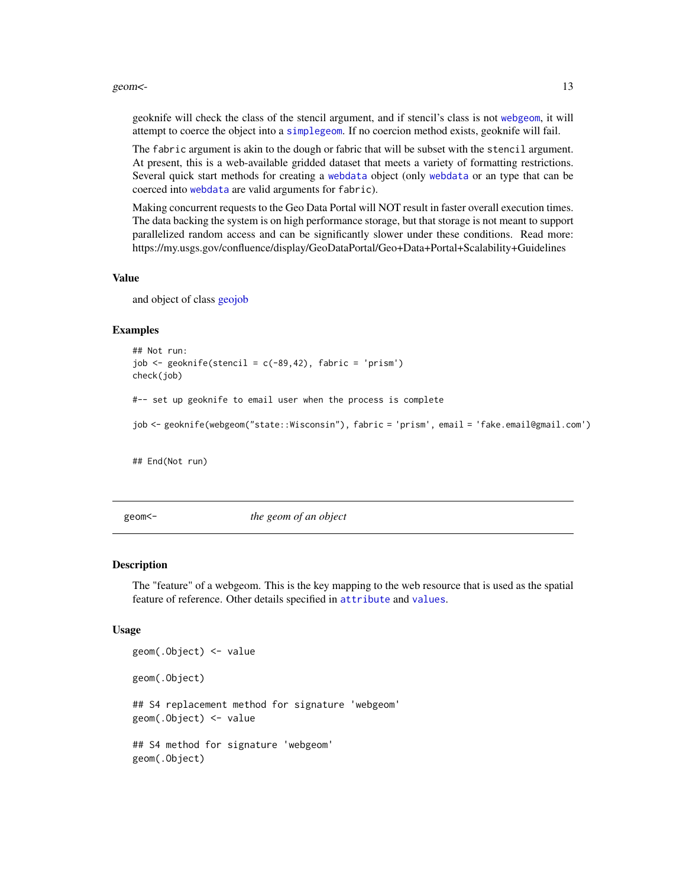#### <span id="page-12-0"></span> $geom \leq$  13

geoknife will check the class of the stencil argument, and if stencil's class is not [webgeom](#page-26-1), it will attempt to coerce the object into a [simplegeom](#page-17-1). If no coercion method exists, geoknife will fail.

The fabric argument is akin to the dough or fabric that will be subset with the stencil argument. At present, this is a web-available gridded dataset that meets a variety of formatting restrictions. Several quick start methods for creating a [webdata](#page-25-1) object (only [webdata](#page-25-1) or an type that can be coerced into [webdata](#page-25-1) are valid arguments for fabric).

Making concurrent requests to the Geo Data Portal will NOT result in faster overall execution times. The data backing the system is on high performance storage, but that storage is not meant to support parallelized random access and can be significantly slower under these conditions. Read more: https://my.usgs.gov/confluence/display/GeoDataPortal/Geo+Data+Portal+Scalability+Guidelines

#### Value

and object of class [geojob](#page-11-1)

## Examples

```
## Not run:
job \leq geoknife(stencil = c(-89,42), fabric = 'prism')
check(job)
#-- set up geoknife to email user when the process is complete
job <- geoknife(webgeom("state::Wisconsin"), fabric = 'prism', email = 'fake.email@gmail.com')
## End(Not run)
```
geom<- *the geom of an object*

#### <span id="page-12-1"></span>Description

The "feature" of a webgeom. This is the key mapping to the web resource that is used as the spatial feature of reference. Other details specified in [attribute](#page-3-1) and [values](#page-22-1).

### Usage

```
geom(.Object) <- value
geom(.Object)
## S4 replacement method for signature 'webgeom'
geom(.Object) <- value
## S4 method for signature 'webgeom'
geom(.Object)
```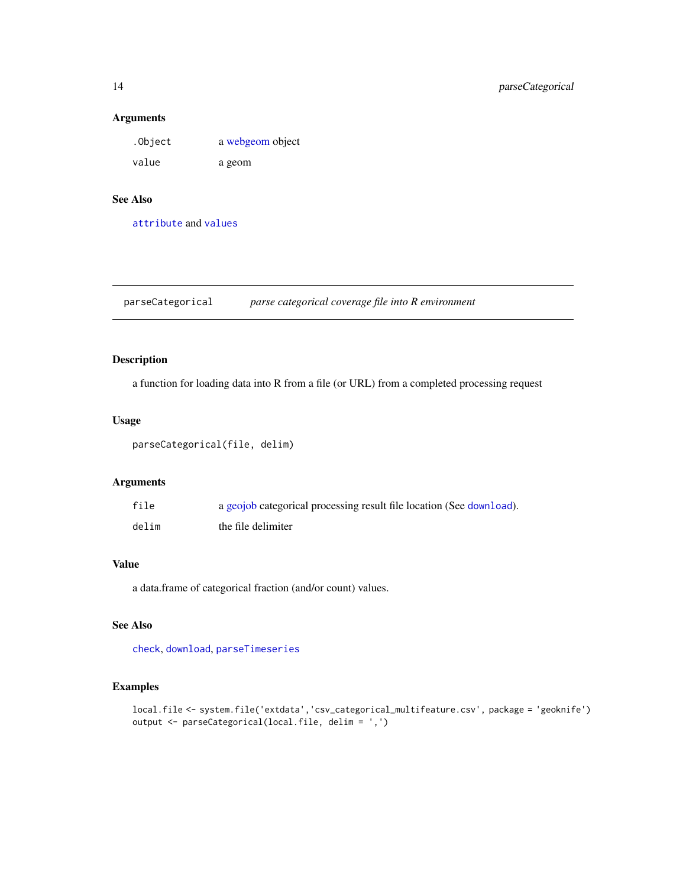## <span id="page-13-0"></span>Arguments

| .Object | a webgeom object |
|---------|------------------|
| value   | a geom           |

# See Also

[attribute](#page-3-1) and [values](#page-22-1)

<span id="page-13-1"></span>parseCategorical *parse categorical coverage file into R environment*

# Description

a function for loading data into R from a file (or URL) from a completed processing request

## Usage

parseCategorical(file, delim)

## Arguments

| file  | a geojob categorical processing result file location (See download). |
|-------|----------------------------------------------------------------------|
| delim | the file delimiter                                                   |

## Value

a data.frame of categorical fraction (and/or count) values.

# See Also

[check](#page-5-1), [download](#page-8-1), [parseTimeseries](#page-14-1)

```
local.file <- system.file('extdata','csv_categorical_multifeature.csv', package = 'geoknife')
output <- parseCategorical(local.file, delim = ',')
```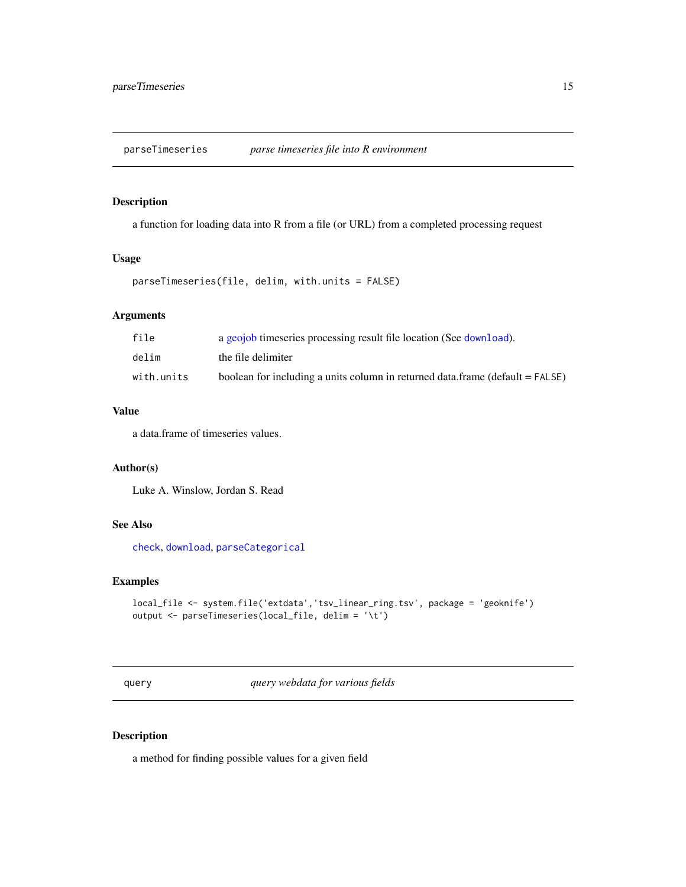<span id="page-14-1"></span><span id="page-14-0"></span>parseTimeseries *parse timeseries file into R environment*

# Description

a function for loading data into R from a file (or URL) from a completed processing request

# Usage

```
parseTimeseries(file, delim, with.units = FALSE)
```
## Arguments

| file       | a geojob timeseries processing result file location (See download).           |
|------------|-------------------------------------------------------------------------------|
| delim      | the file delimiter                                                            |
| with.units | boolean for including a units column in returned data.frame (default = FALSE) |

# Value

a data.frame of timeseries values.

# Author(s)

Luke A. Winslow, Jordan S. Read

# See Also

[check](#page-5-1), [download](#page-8-1), [parseCategorical](#page-13-1)

## Examples

```
local_file <- system.file('extdata','tsv_linear_ring.tsv', package = 'geoknife')
output <- parseTimeseries(local_file, delim = '\t')
```
query *query webdata for various fields*

#### Description

a method for finding possible values for a given field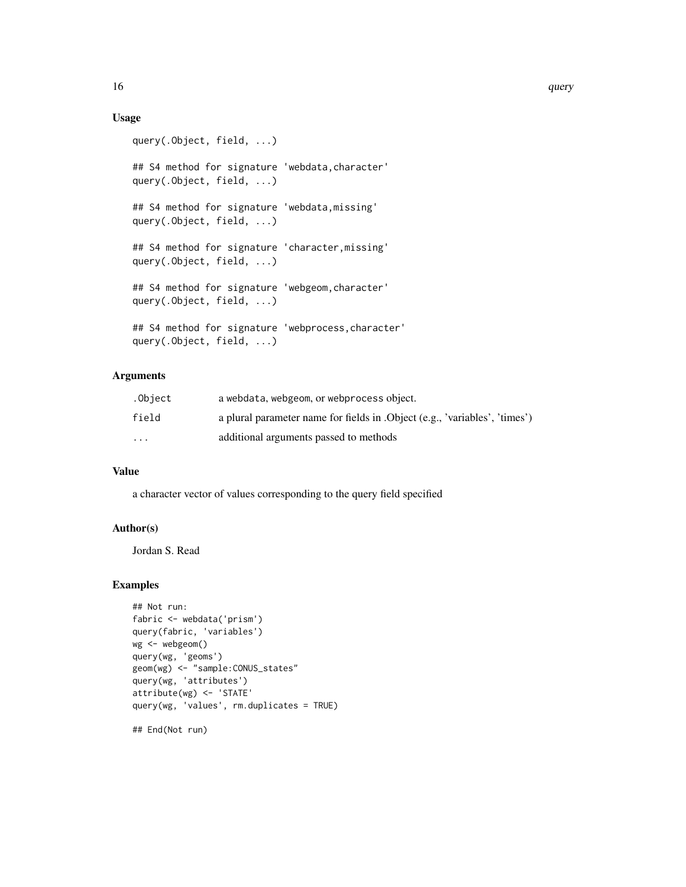# Usage

```
query(.Object, field, ...)
## S4 method for signature 'webdata, character'
query(.Object, field, ...)
## S4 method for signature 'webdata,missing'
query(.Object, field, ...)
## S4 method for signature 'character, missing'
query(.Object, field, ...)
## S4 method for signature 'webgeom,character'
query(.Object, field, ...)
## S4 method for signature 'webprocess,character'
query(.Object, field, ...)
```
# Arguments

| .Object  | a webdata, webgeom, or webprocess object.                                   |
|----------|-----------------------------------------------------------------------------|
| field    | a plural parameter name for fields in . Object (e.g., 'variables', 'times') |
| $\cdots$ | additional arguments passed to methods                                      |

## Value

a character vector of values corresponding to the query field specified

## Author(s)

Jordan S. Read

```
## Not run:
fabric <- webdata('prism')
query(fabric, 'variables')
wg <- webgeom()
query(wg, 'geoms')
geom(wg) <- "sample:CONUS_states"
query(wg, 'attributes')
attribute(wg) <- 'STATE'
query(wg, 'values', rm.duplicates = TRUE)
## End(Not run)
```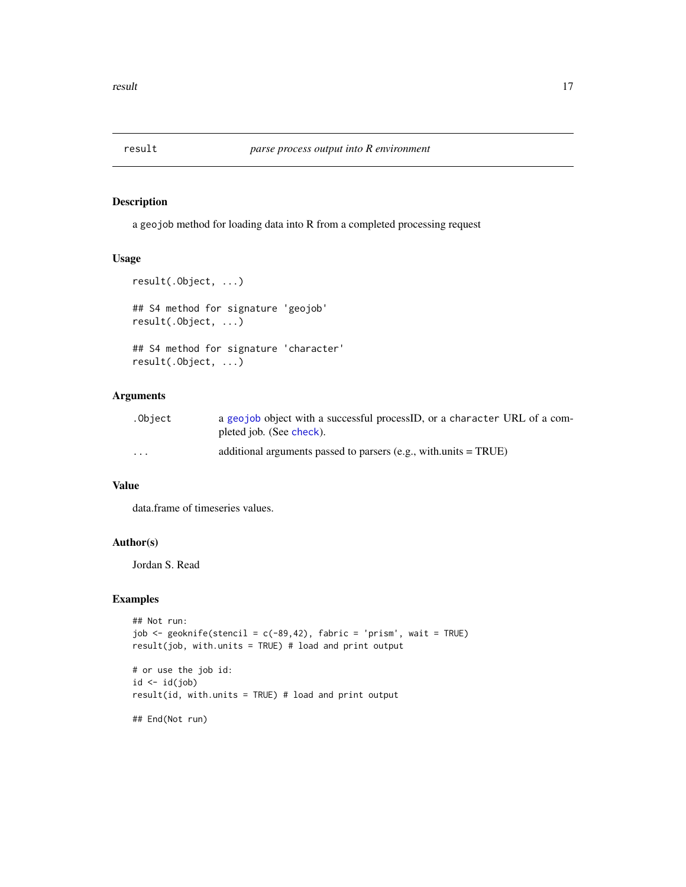<span id="page-16-0"></span>

a geojob method for loading data into R from a completed processing request

# Usage

```
result(.Object, ...)
## S4 method for signature 'geojob'
result(.Object, ...)
## S4 method for signature 'character'
result(.Object, ...)
```
# Arguments

| .Obiect                 | a geojob object with a successful processID, or a character URL of a com- |
|-------------------------|---------------------------------------------------------------------------|
|                         | pleted job. (See check).                                                  |
| $\cdot$ $\cdot$ $\cdot$ | additional arguments passed to parsers $(e.g., with.units = TRUE)$        |

## Value

data.frame of timeseries values.

# Author(s)

Jordan S. Read

## Examples

```
## Not run:
job \le geoknife(stencil = c(-89,42), fabric = 'prism', wait = TRUE)
result(job, with.units = TRUE) # load and print output
# or use the job id:
id \leftarrow id(job)
```
result(id, with.units = TRUE) # load and print output

## End(Not run)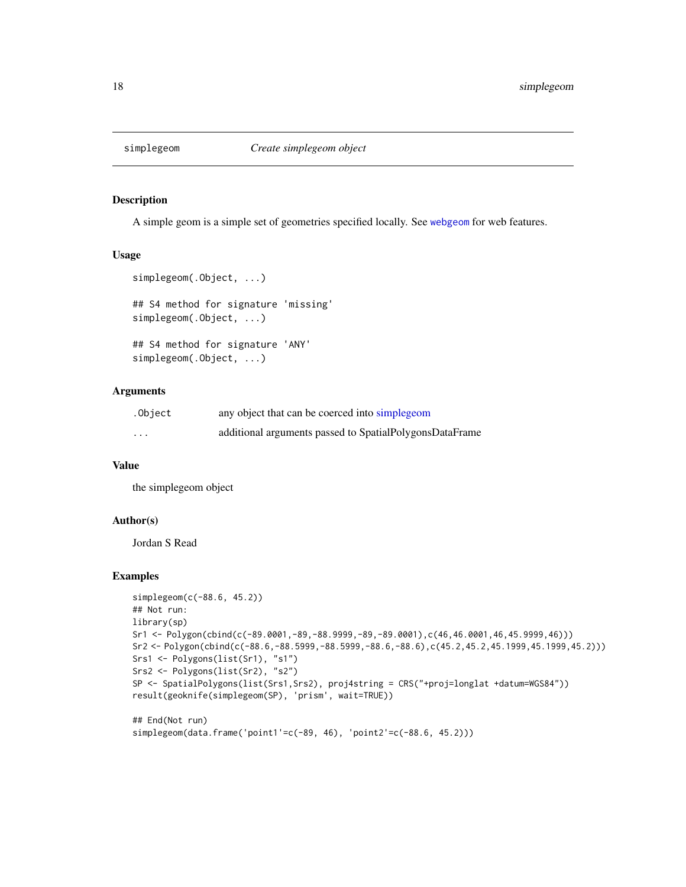<span id="page-17-1"></span><span id="page-17-0"></span>

A simple geom is a simple set of geometries specified locally. See [webgeom](#page-26-1) for web features.

### Usage

```
simplegeom(.Object, ...)
## S4 method for signature 'missing'
simplegeom(.Object, ...)
## S4 method for signature 'ANY'
simplegeom(.Object, ...)
```
## Arguments

| .Object  | any object that can be coerced into simple geom         |
|----------|---------------------------------------------------------|
| $\cdots$ | additional arguments passed to SpatialPolygonsDataFrame |

### Value

the simplegeom object

### Author(s)

Jordan S Read

```
simplegeom(c(-88.6, 45.2))
## Not run:
library(sp)
Sr1 <- Polygon(cbind(c(-89.0001,-89,-88.9999,-89,-89.0001),c(46,46.0001,46,45.9999,46)))
Sr2 <- Polygon(cbind(c(-88.6,-88.5999,-88.5999,-88.6,-88.6),c(45.2,45.2,45.1999,45.1999,45.2)))
Srs1 <- Polygons(list(Sr1), "s1")
Srs2 <- Polygons(list(Sr2), "s2")
SP <- SpatialPolygons(list(Srs1,Srs2), proj4string = CRS("+proj=longlat +datum=WGS84"))
result(geoknife(simplegeom(SP), 'prism', wait=TRUE))
## End(Not run)
simplegeom(data.frame('point1'=c(-89, 46), 'point2'=c(-88.6, 45.2)))
```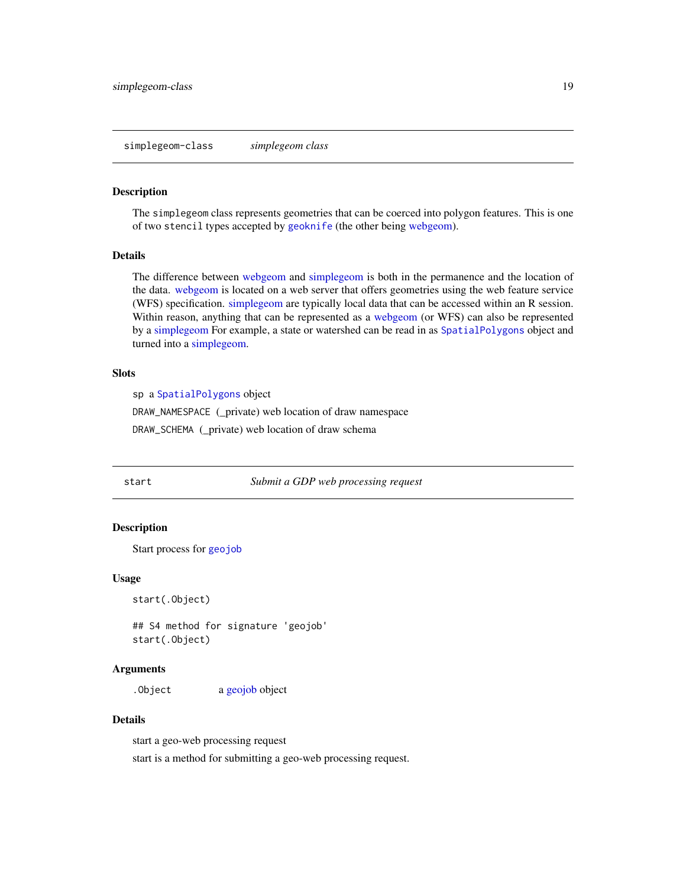<span id="page-18-2"></span><span id="page-18-0"></span>simplegeom-class *simplegeom class*

#### Description

The simplegeom class represents geometries that can be coerced into polygon features. This is one of two stencil types accepted by [geoknife](#page-11-2) (the other being [webgeom\)](#page-28-1).

#### Details

The difference between [webgeom](#page-28-1) and [simplegeom](#page-18-2) is both in the permanence and the location of the data. [webgeom](#page-28-1) is located on a web server that offers geometries using the web feature service (WFS) specification. [simplegeom](#page-18-2) are typically local data that can be accessed within an R session. Within reason, anything that can be represented as a [webgeom](#page-28-1) (or WFS) can also be represented by a [simplegeom](#page-18-2) For example, a state or watershed can be read in as [SpatialPolygons](#page-0-0) object and turned into a [simplegeom.](#page-18-2)

## **Slots**

sp a [SpatialPolygons](#page-0-0) object

DRAW\_NAMESPACE (\_private) web location of draw namespace

DRAW\_SCHEMA (\_private) web location of draw schema

<span id="page-18-1"></span>

start *Submit a GDP web processing request*

## Description

Start process for [geojob](#page-9-1)

#### Usage

start(.Object)

## S4 method for signature 'geojob' start(.Object)

## Arguments

. Object a [geojob](#page-11-1) object

# Details

start a geo-web processing request start is a method for submitting a geo-web processing request.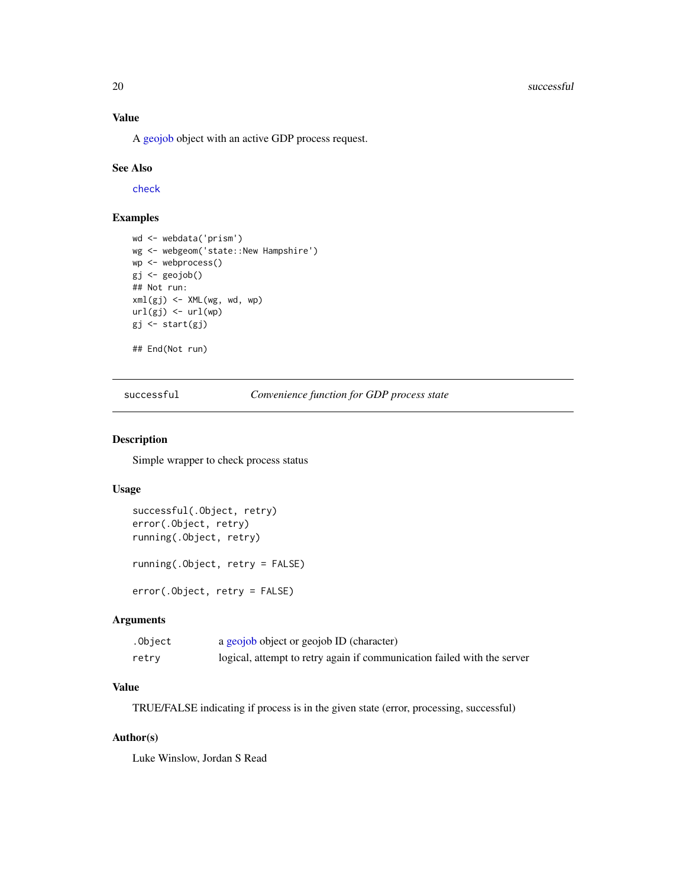#### 20 successful successful successful successful successful successful successful successful successful

## Value

A [geojob](#page-11-1) object with an active GDP process request.

## See Also

[check](#page-5-1)

## Examples

```
wd <- webdata('prism')
wg <- webgeom('state::New Hampshire')
wp <- webprocess()
gj <- geojob()
## Not run:
xml(gj) <- XML(wg, wd, wp)
url(gj) \leftarrow url(wp)gj <- start(gj)
## End(Not run)
```
successful *Convenience function for GDP process state*

## <span id="page-19-1"></span>Description

Simple wrapper to check process status

#### Usage

```
successful(.Object, retry)
error(.Object, retry)
running(.Object, retry)
running(.Object, retry = FALSE)
error(.Object, retry = FALSE)
```
## Arguments

| .Object | a geojob object or geojob ID (character)                                |
|---------|-------------------------------------------------------------------------|
| retry   | logical, attempt to retry again if communication failed with the server |

# Value

TRUE/FALSE indicating if process is in the given state (error, processing, successful)

## Author(s)

Luke Winslow, Jordan S Read

<span id="page-19-0"></span>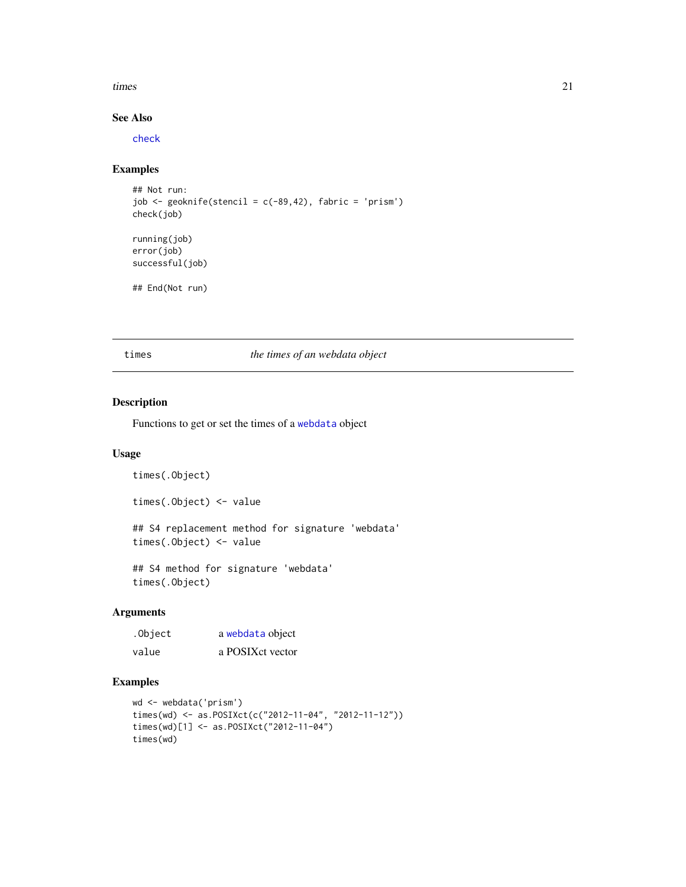#### <span id="page-20-0"></span>times 21

# See Also

[check](#page-5-1)

# Examples

```
## Not run:
job \leq geoknife(stencil = c(-89,42), fabric = 'prism')
check(job)
running(job)
error(job)
successful(job)
## End(Not run)
```
times *the times of an webdata object*

### Description

Functions to get or set the times of a [webdata](#page-25-1) object

## Usage

```
times(.Object)
times(.Object) <- value
## S4 replacement method for signature 'webdata'
times(.Object) <- value
```
## S4 method for signature 'webdata' times(.Object)

# Arguments

| .Object | a webdata object |
|---------|------------------|
| value   | a POSIXct vector |

```
wd <- webdata('prism')
times(wd) <- as.POSIXct(c("2012-11-04", "2012-11-12"))
times(wd)[1] <- as.POSIXct("2012-11-04")
times(wd)
```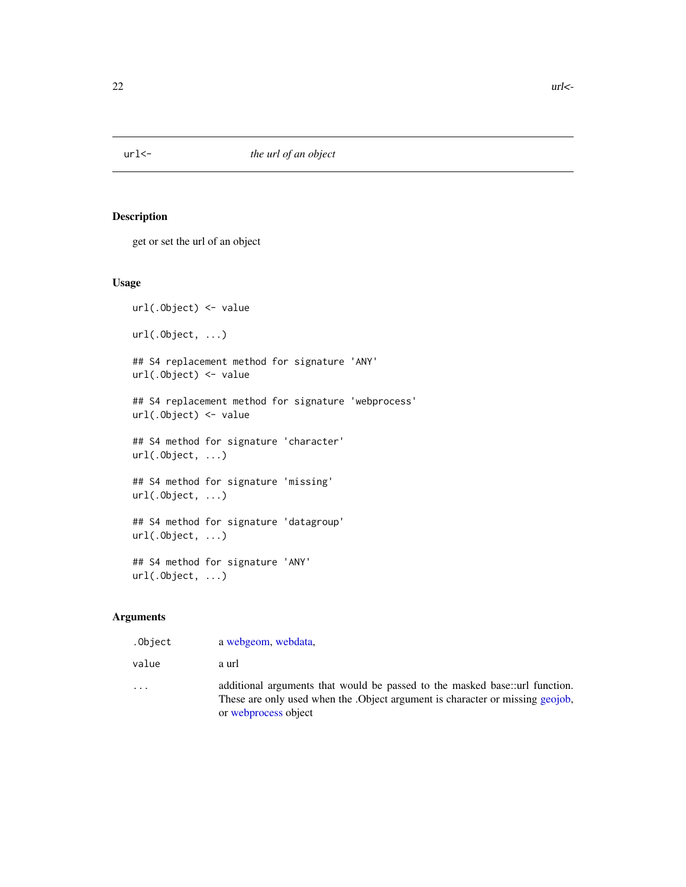<span id="page-21-1"></span><span id="page-21-0"></span>

get or set the url of an object

# Usage

```
url(.Object) <- value
url(.Object, ...)
## S4 replacement method for signature 'ANY'
url(.Object) <- value
## S4 replacement method for signature 'webprocess'
url(.Object) <- value
## S4 method for signature 'character'
url(.Object, ...)
## S4 method for signature 'missing'
url(.Object, ...)
## S4 method for signature 'datagroup'
url(.Object, ...)
## S4 method for signature 'ANY'
url(.Object, ...)
```
# Arguments

| .Object                 | a webgeom, webdata,                                                                                                                                                                  |
|-------------------------|--------------------------------------------------------------------------------------------------------------------------------------------------------------------------------------|
| value                   | a url                                                                                                                                                                                |
| $\cdot$ $\cdot$ $\cdot$ | additional arguments that would be passed to the masked base: url function.<br>These are only used when the .Object argument is character or missing geojob,<br>or webprocess object |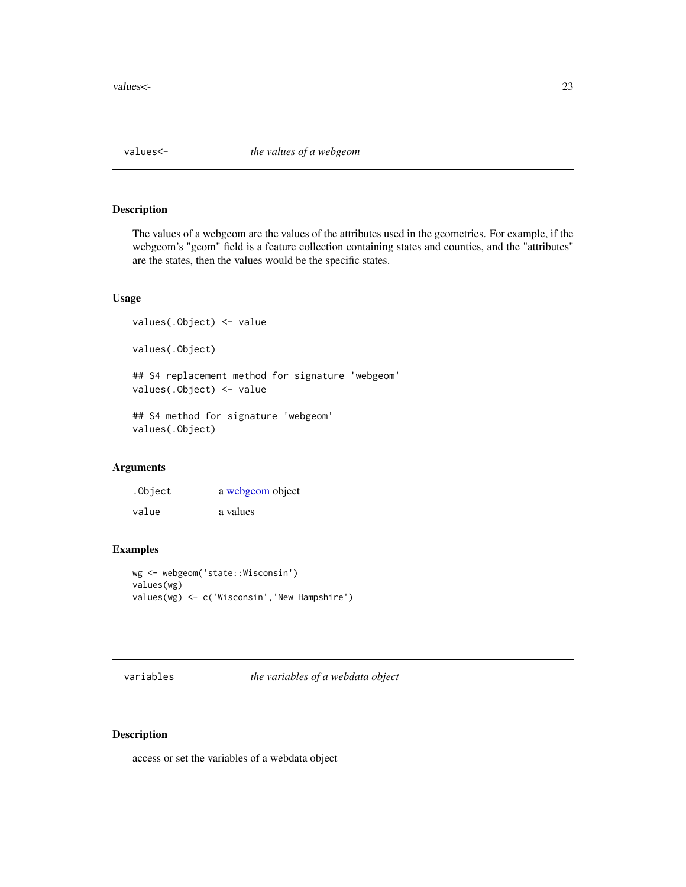<span id="page-22-1"></span><span id="page-22-0"></span>

The values of a webgeom are the values of the attributes used in the geometries. For example, if the webgeom's "geom" field is a feature collection containing states and counties, and the "attributes" are the states, then the values would be the specific states.

### Usage

```
values(.Object) <- value
values(.Object)
## S4 replacement method for signature 'webgeom'
values(.Object) <- value
## S4 method for signature 'webgeom'
values(.Object)
```
#### Arguments

| .Object | a webgeom object |
|---------|------------------|
| value   | a values         |

# Examples

```
wg <- webgeom('state::Wisconsin')
values(wg)
values(wg) <- c('Wisconsin','New Hampshire')
```
variables *the variables of a webdata object*

## Description

access or set the variables of a webdata object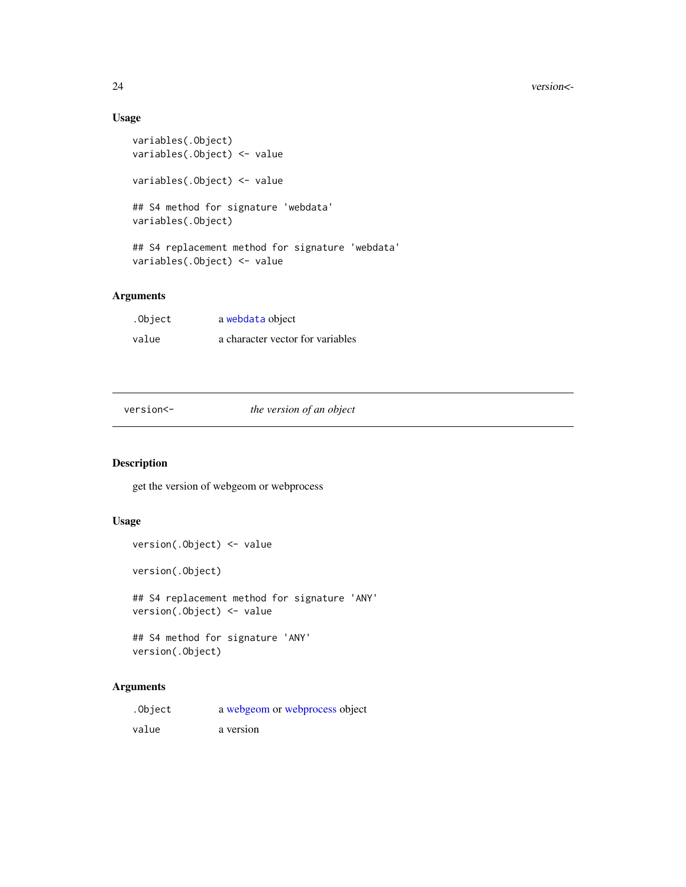# Usage

```
variables(.Object)
variables(.Object) <- value
variables(.Object) <- value
## S4 method for signature 'webdata'
variables(.Object)
## S4 replacement method for signature 'webdata'
variables(.Object) <- value
```
# Arguments

| .Object | a webdata object                 |
|---------|----------------------------------|
| value   | a character vector for variables |

version<- *the version of an object*

# <span id="page-23-1"></span>Description

get the version of webgeom or webprocess

# Usage

version(.Object) <- value

version(.Object)

## S4 replacement method for signature 'ANY' version(.Object) <- value

## S4 method for signature 'ANY' version(.Object)

# Arguments

| .Object | a webgeom or webprocess object |
|---------|--------------------------------|
| value   | a version                      |

<span id="page-23-0"></span>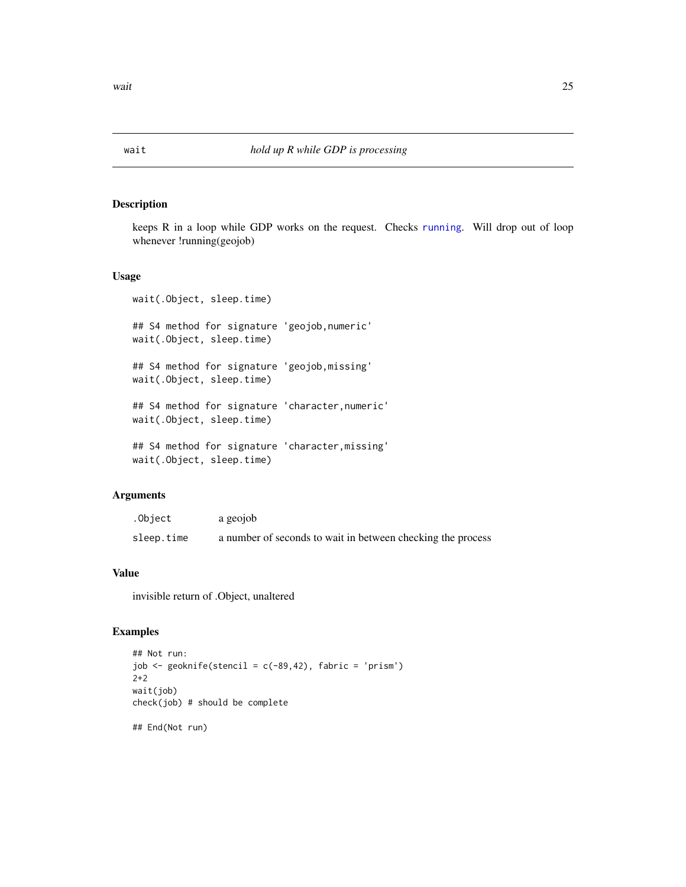<span id="page-24-0"></span>

keeps R in a loop while GDP works on the request. Checks [running](#page-19-1). Will drop out of loop whenever !running(geojob)

## Usage

```
wait(.Object, sleep.time)
## S4 method for signature 'geojob,numeric'
wait(.Object, sleep.time)
## S4 method for signature 'geojob,missing'
wait(.Object, sleep.time)
## S4 method for signature 'character,numeric'
wait(.Object, sleep.time)
## S4 method for signature 'character,missing'
wait(.Object, sleep.time)
```
## Arguments

| .Object    | a geojob                                                    |
|------------|-------------------------------------------------------------|
| sleep.time | a number of seconds to wait in between checking the process |

# Value

invisible return of .Object, unaltered

```
## Not run:
job \leq geoknife(stencil = c(-89,42), fabric = 'prism')
2+2
wait(job)
check(job) # should be complete
## End(Not run)
```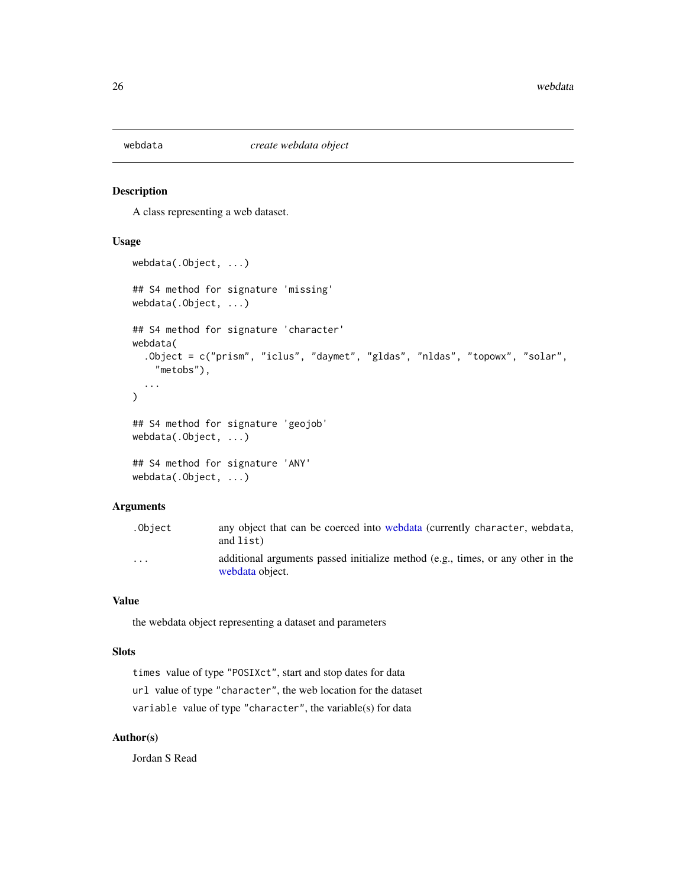<span id="page-25-1"></span><span id="page-25-0"></span>

A class representing a web dataset.

## Usage

```
webdata(.Object, ...)
## S4 method for signature 'missing'
webdata(.Object, ...)
## S4 method for signature 'character'
webdata(
  .Object = c("prism", "iclus", "daymet", "gldas", "nldas", "topowx", "solar",
    "metobs"),
  ...
\lambda## S4 method for signature 'geojob'
webdata(.Object, ...)
## S4 method for signature 'ANY'
webdata(.Object, ...)
```
# Arguments

| .Obiect | any object that can be coerced into webdata (currently character, webdata,<br>and list)            |
|---------|----------------------------------------------------------------------------------------------------|
| .       | additional arguments passed initialize method (e.g., times, or any other in the<br>webdata object. |

# Value

the webdata object representing a dataset and parameters

#### Slots

times value of type "POSIXct", start and stop dates for data url value of type "character", the web location for the dataset variable value of type "character", the variable(s) for data

## Author(s)

Jordan S Read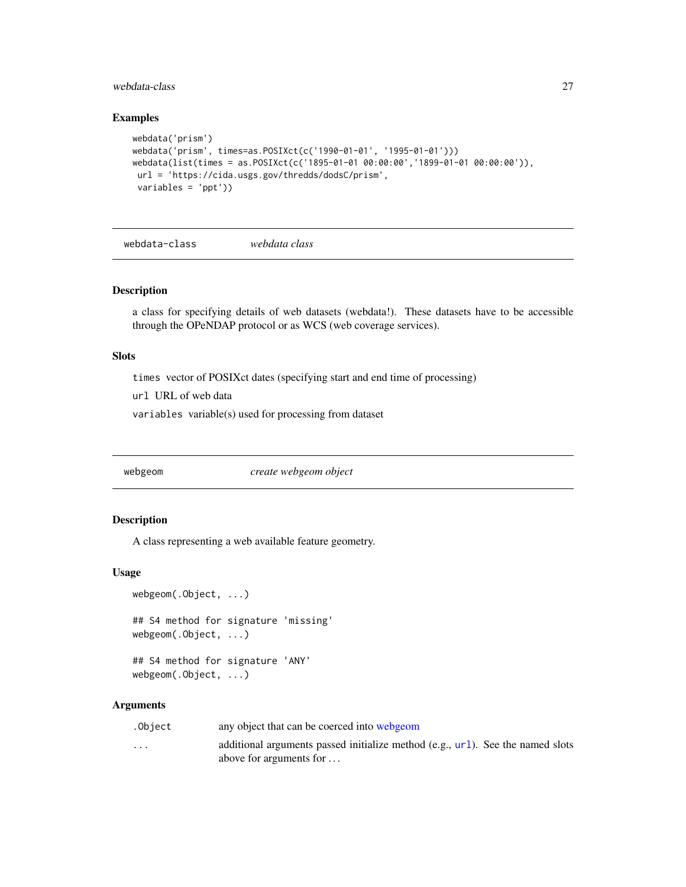## <span id="page-26-0"></span>webdata-class 27

#### Examples

```
webdata('prism')
webdata('prism', times=as.POSIXct(c('1990-01-01', '1995-01-01')))
webdata(list(times = as.POSIXct(c('1895-01-01 00:00:00','1899-01-01 00:00:00')),
url = 'https://cida.usgs.gov/thredds/dodsC/prism',
 variables = 'ppt'))
```
<span id="page-26-2"></span>webdata-class *webdata class*

## Description

a class for specifying details of web datasets (webdata!). These datasets have to be accessible through the OPeNDAP protocol or as WCS (web coverage services).

## Slots

times vector of POSIXct dates (specifying start and end time of processing)

url URL of web data

variables variable(s) used for processing from dataset

<span id="page-26-1"></span>webgeom *create webgeom object*

#### Description

A class representing a web available feature geometry.

#### Usage

```
webgeom(.Object, ...)
## S4 method for signature 'missing'
webgeom(.Object, ...)
```
## S4 method for signature 'ANY' webgeom(.Object, ...)

#### Arguments

| .Object | any object that can be coerced into webgeom |  |
|---------|---------------------------------------------|--|
|         |                                             |  |

... additional arguments passed initialize method (e.g., [url](#page-21-1)). See the named slots above for arguments for . . .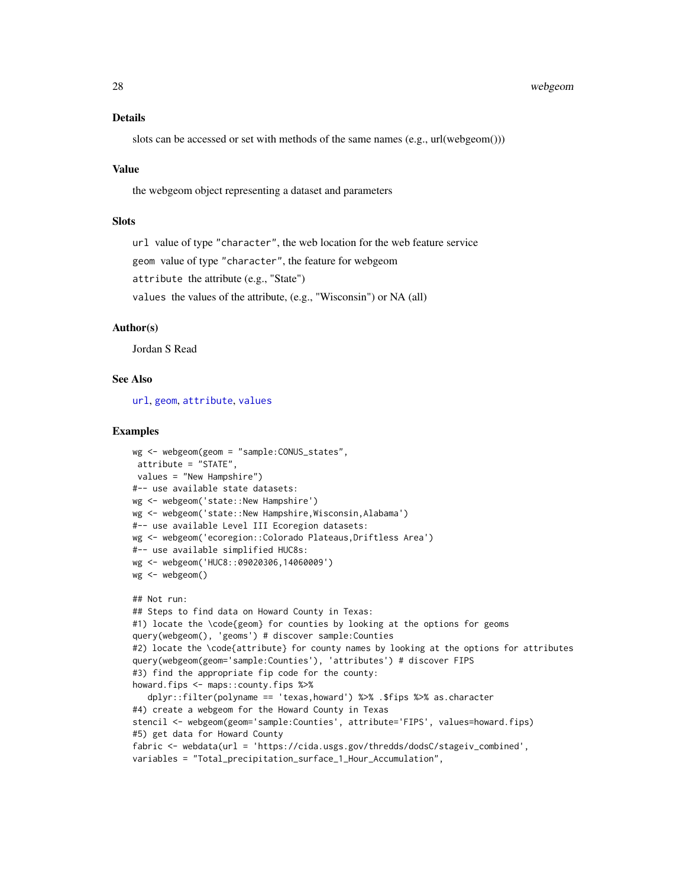#### <span id="page-27-0"></span>Details

slots can be accessed or set with methods of the same names (e.g., url(webgeom()))

#### Value

the webgeom object representing a dataset and parameters

#### **Slots**

url value of type "character", the web location for the web feature service

geom value of type "character", the feature for webgeom

attribute the attribute (e.g., "State")

values the values of the attribute, (e.g., "Wisconsin") or NA (all)

#### Author(s)

Jordan S Read

#### See Also

[url](#page-21-1), [geom](#page-12-1), [attribute](#page-3-1), [values](#page-22-1)

```
wg <- webgeom(geom = "sample:CONUS_states",
attribute = "STATE",
values = "New Hampshire")
#-- use available state datasets:
wg <- webgeom('state::New Hampshire')
wg <- webgeom('state::New Hampshire,Wisconsin,Alabama')
#-- use available Level III Ecoregion datasets:
wg <- webgeom('ecoregion::Colorado Plateaus,Driftless Area')
#-- use available simplified HUC8s:
wg <- webgeom('HUC8::09020306,14060009')
wg <- webgeom()
## Not run:
## Steps to find data on Howard County in Texas:
#1) locate the \code{geom} for counties by looking at the options for geoms
query(webgeom(), 'geoms') # discover sample:Counties
#2) locate the \code{attribute} for county names by looking at the options for attributes
query(webgeom(geom='sample:Counties'), 'attributes') # discover FIPS
#3) find the appropriate fip code for the county:
howard.fips <- maps::county.fips %>%
  dplyr::filter(polyname == 'texas,howard') %>% .$fips %>% as.character
#4) create a webgeom for the Howard County in Texas
stencil <- webgeom(geom='sample:Counties', attribute='FIPS', values=howard.fips)
#5) get data for Howard County
fabric <- webdata(url = 'https://cida.usgs.gov/thredds/dodsC/stageiv_combined',
variables = "Total_precipitation_surface_1_Hour_Accumulation",
```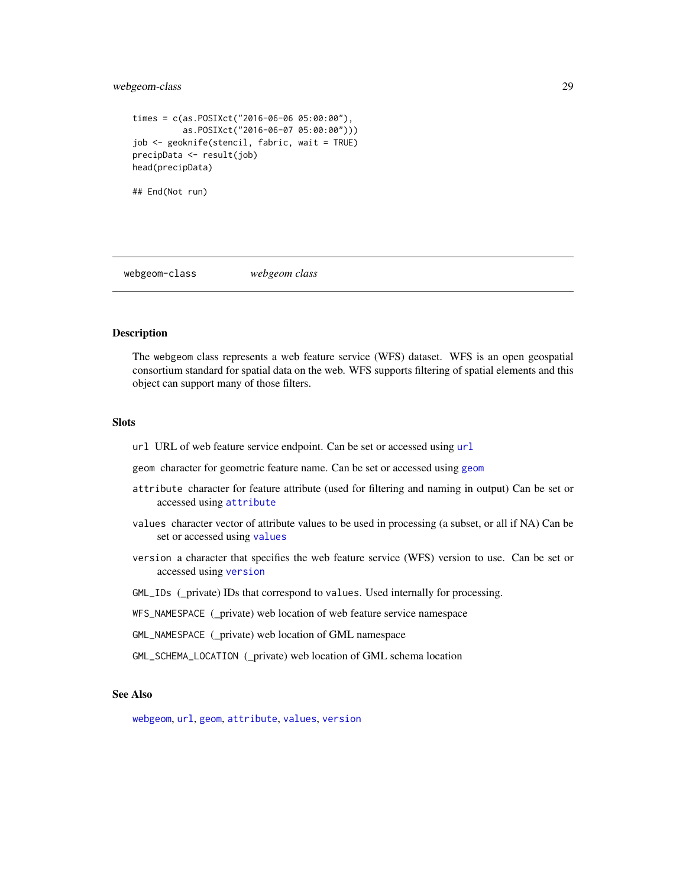# <span id="page-28-0"></span>webgeom-class 29

```
times = c(as.POSIXct("2016-06-06 05:00:00"),
          as.POSIXct("2016-06-07 05:00:00")))
job <- geoknife(stencil, fabric, wait = TRUE)
precipData <- result(job)
head(precipData)
## End(Not run)
```
<span id="page-28-1"></span>webgeom-class *webgeom class*

#### Description

The webgeom class represents a web feature service (WFS) dataset. WFS is an open geospatial consortium standard for spatial data on the web. WFS supports filtering of spatial elements and this object can support many of those filters.

#### **Slots**

url URL of web feature service endpoint. Can be set or accessed using [url](#page-21-1)

geom character for geometric feature name. Can be set or accessed using [geom](#page-12-1)

- attribute character for feature attribute (used for filtering and naming in output) Can be set or accessed using [attribute](#page-3-1)
- values character vector of attribute values to be used in processing (a subset, or all if NA) Can be set or accessed using [values](#page-22-1)
- version a character that specifies the web feature service (WFS) version to use. Can be set or accessed using [version](#page-23-1)
- GML\_IDs (\_private) IDs that correspond to values. Used internally for processing.
- WFS\_NAMESPACE (\_private) web location of web feature service namespace
- GML\_NAMESPACE (\_private) web location of GML namespace
- GML\_SCHEMA\_LOCATION (\_private) web location of GML schema location

## See Also

[webgeom](#page-26-1), [url](#page-21-1), [geom](#page-12-1), [attribute](#page-3-1), [values](#page-22-1), [version](#page-23-1)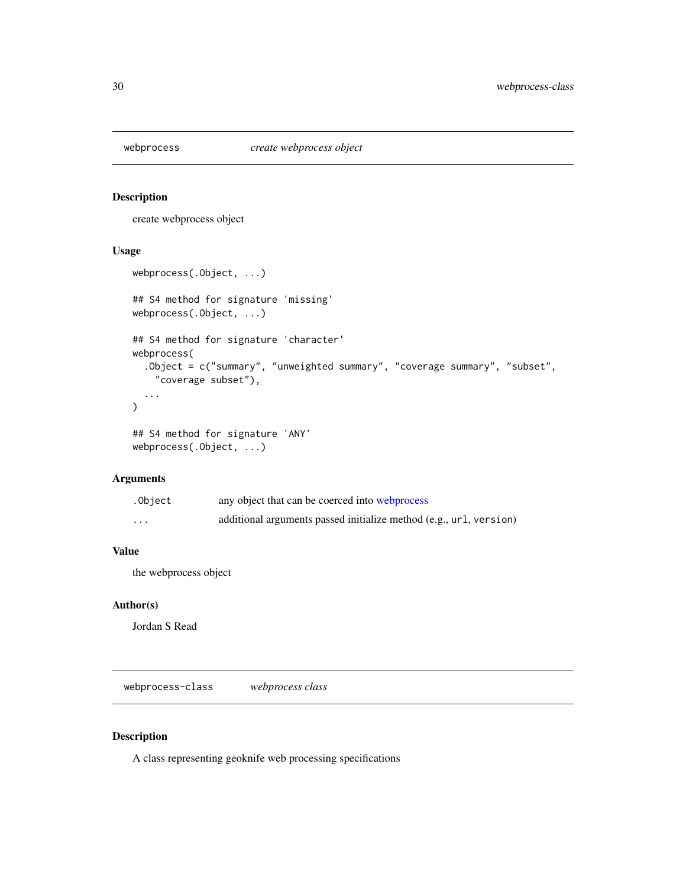<span id="page-29-2"></span><span id="page-29-0"></span>

create webprocess object

## Usage

```
webprocess(.Object, ...)
## S4 method for signature 'missing'
webprocess(.Object, ...)
## S4 method for signature 'character'
webprocess(
  .Object = c("summary", "unweighted summary", "coverage summary", "subset",
    "coverage subset"),
  ...
\mathcal{L}## S4 method for signature 'ANY'
```

```
webprocess(.Object, ...)
```
#### Arguments

| .Object  | any object that can be coerced into webprocess                     |
|----------|--------------------------------------------------------------------|
| $\cdots$ | additional arguments passed initialize method (e.g., url, version) |

# Value

the webprocess object

## Author(s)

Jordan S Read

<span id="page-29-1"></span>webprocess-class *webprocess class*

# Description

A class representing geoknife web processing specifications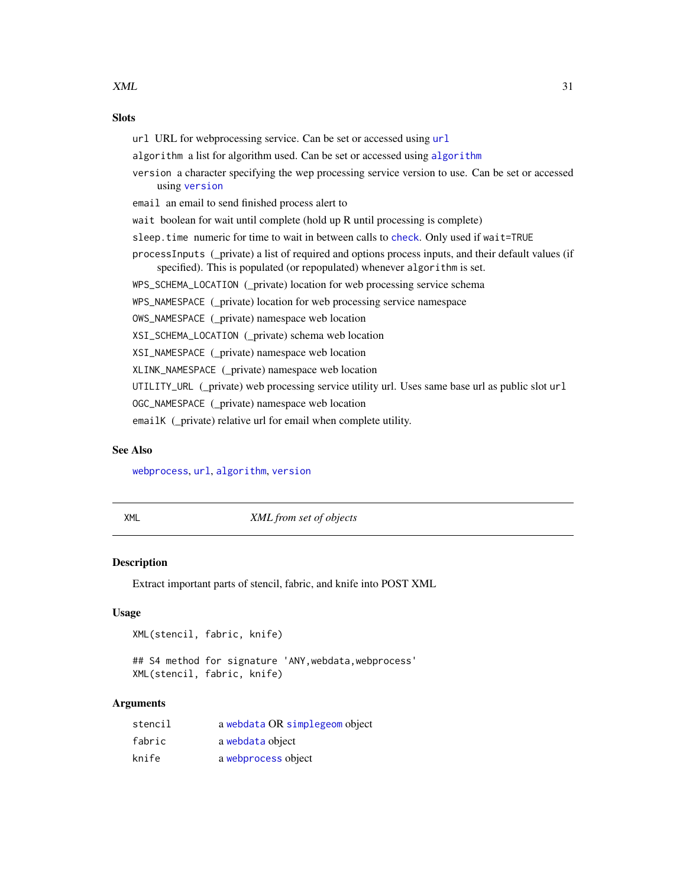#### <span id="page-30-0"></span> $XML$  31

## **Slots**

[url](#page-21-1) URL for webprocessing service. Can be set or accessed using url [algorithm](#page-2-1) a list for algorithm used. Can be set or accessed using algorithm version a character specifying the wep processing service version to use. Can be set or accessed using [version](#page-23-1) email an email to send finished process alert to wait boolean for wait until complete (hold up R until processing is complete) sleep.time numeric for time to wait in between calls to [check](#page-5-1). Only used if wait=TRUE processInputs (\_private) a list of required and options process inputs, and their default values (if specified). This is populated (or repopulated) whenever algorithm is set. WPS\_SCHEMA\_LOCATION (\_private) location for web processing service schema WPS\_NAMESPACE (\_private) location for web processing service namespace OWS\_NAMESPACE (\_private) namespace web location XSI\_SCHEMA\_LOCATION (\_private) schema web location XSI\_NAMESPACE (\_private) namespace web location XLINK\_NAMESPACE (\_private) namespace web location UTILITY\_URL (\_private) web processing service utility url. Uses same base url as public slot url OGC\_NAMESPACE (\_private) namespace web location emailK (\_private) relative url for email when complete utility.

## See Also

[webprocess](#page-29-2), [url](#page-21-1), [algorithm](#page-2-1), [version](#page-23-1)

XML *XML from set of objects*

#### **Description**

Extract important parts of stencil, fabric, and knife into POST XML

#### Usage

XML(stencil, fabric, knife)

## S4 method for signature 'ANY,webdata,webprocess' XML(stencil, fabric, knife)

#### Arguments

| stencil | a webdata OR simplegeom object |
|---------|--------------------------------|
| fabric  | a webdata object               |
| knife   | a webprocess object            |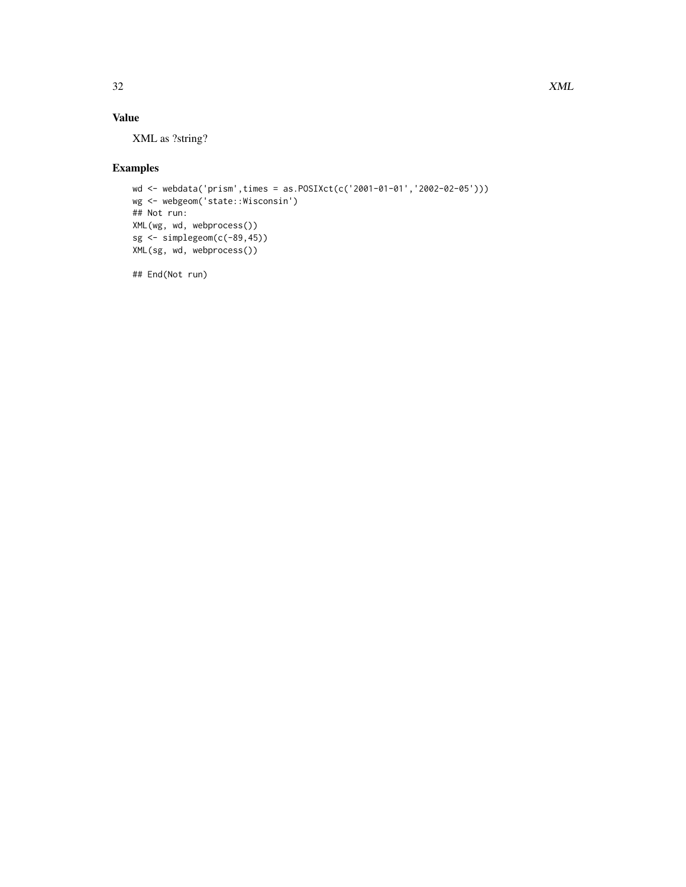# Value

XML as ?string?

# Examples

```
wd <- webdata('prism',times = as.POSIXct(c('2001-01-01','2002-02-05')))
wg <- webgeom('state::Wisconsin')
## Not run:
XML(wg, wd, webprocess())
sg <- simplegeom(c(-89,45))
XML(sg, wd, webprocess())
```
## End(Not run)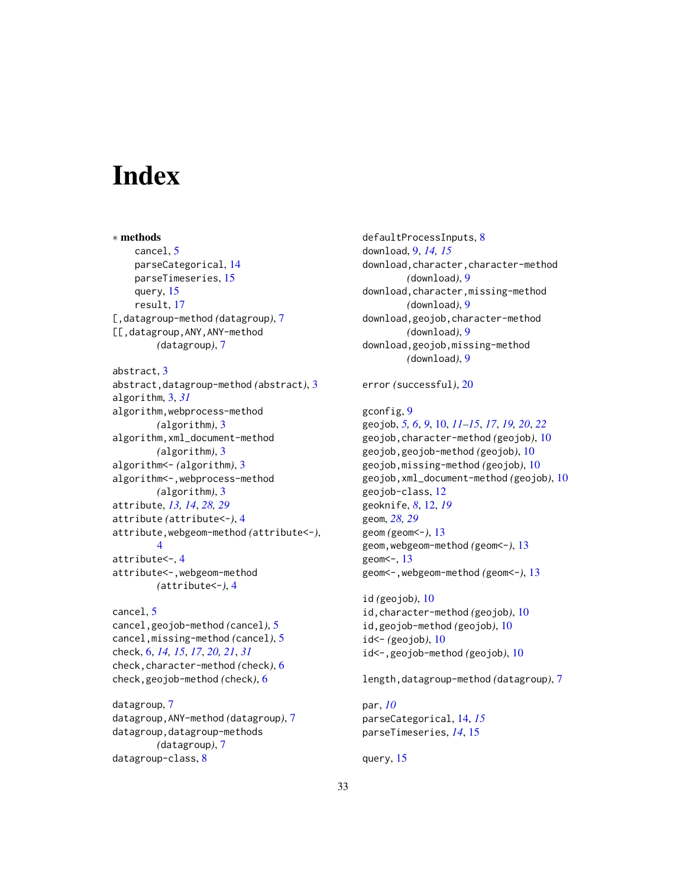# <span id="page-32-0"></span>**Index**

∗ methods cancel, [5](#page-4-0) parseCategorical, [14](#page-13-0) parseTimeseries, [15](#page-14-0) query, [15](#page-14-0) result, [17](#page-16-0) [,datagroup-method *(*datagroup*)*, [7](#page-6-0) [[,datagroup,ANY,ANY-method *(*datagroup*)*, [7](#page-6-0) abstract, [3](#page-2-0) abstract,datagroup-method *(*abstract*)*, [3](#page-2-0) algorithm, [3,](#page-2-0) *[31](#page-30-0)* algorithm,webprocess-method *(*algorithm*)*, [3](#page-2-0) algorithm,xml\_document-method *(*algorithm*)*, [3](#page-2-0) algorithm<- *(*algorithm*)*, [3](#page-2-0) algorithm<-,webprocess-method *(*algorithm*)*, [3](#page-2-0) attribute, *[13,](#page-12-0) [14](#page-13-0)*, *[28,](#page-27-0) [29](#page-28-0)* attribute *(*attribute<-*)*, [4](#page-3-0) attribute,webgeom-method *(*attribute<-*)*, [4](#page-3-0) attribute<-, [4](#page-3-0) attribute<-,webgeom-method *(*attribute<-*)*, [4](#page-3-0)

cancel, [5](#page-4-0) cancel,geojob-method *(*cancel*)*, [5](#page-4-0) cancel,missing-method *(*cancel*)*, [5](#page-4-0) check, [6,](#page-5-0) *[14,](#page-13-0) [15](#page-14-0)*, *[17](#page-16-0)*, *[20,](#page-19-0) [21](#page-20-0)*, *[31](#page-30-0)* check,character-method *(*check*)*, [6](#page-5-0) check,geojob-method *(*check*)*, [6](#page-5-0)

datagroup, [7](#page-6-0) datagroup,ANY-method *(*datagroup*)*, [7](#page-6-0) datagroup,datagroup-methods *(*datagroup*)*, [7](#page-6-0) datagroup-class, [8](#page-7-0)

defaultProcessInputs, [8](#page-7-0) download, [9,](#page-8-0) *[14,](#page-13-0) [15](#page-14-0)* download,character,character-method *(*download*)*, [9](#page-8-0) download,character,missing-method *(*download*)*, [9](#page-8-0) download,geojob,character-method *(*download*)*, [9](#page-8-0) download,geojob,missing-method *(*download*)*, [9](#page-8-0)

error *(*successful*)*, [20](#page-19-0)

# gconfig, [9](#page-8-0)

geojob, *[5,](#page-4-0) [6](#page-5-0)*, *[9](#page-8-0)*, [10,](#page-9-0) *[11](#page-10-0)[–15](#page-14-0)*, *[17](#page-16-0)*, *[19,](#page-18-0) [20](#page-19-0)*, *[22](#page-21-0)* geojob,character-method *(*geojob*)*, [10](#page-9-0) geojob,geojob-method *(*geojob*)*, [10](#page-9-0) geojob,missing-method *(*geojob*)*, [10](#page-9-0) geojob,xml\_document-method *(*geojob*)*, [10](#page-9-0) geojob-class, [12](#page-11-0) geoknife, *[8](#page-7-0)*, [12,](#page-11-0) *[19](#page-18-0)* geom, *[28,](#page-27-0) [29](#page-28-0)* geom *(*geom<-*)*, [13](#page-12-0) geom,webgeom-method *(*geom<-*)*, [13](#page-12-0) geom<-, [13](#page-12-0) geom<-,webgeom-method *(*geom<-*)*, [13](#page-12-0)

id *(*geojob*)*, [10](#page-9-0) id,character-method *(*geojob*)*, [10](#page-9-0) id,geojob-method *(*geojob*)*, [10](#page-9-0) id<- *(*geojob*)*, [10](#page-9-0) id<-,geojob-method *(*geojob*)*, [10](#page-9-0)

length,datagroup-method *(*datagroup*)*, [7](#page-6-0)

par, *[10](#page-9-0)* parseCategorical, [14,](#page-13-0) *[15](#page-14-0)* parseTimeseries, *[14](#page-13-0)*, [15](#page-14-0)

query, [15](#page-14-0)